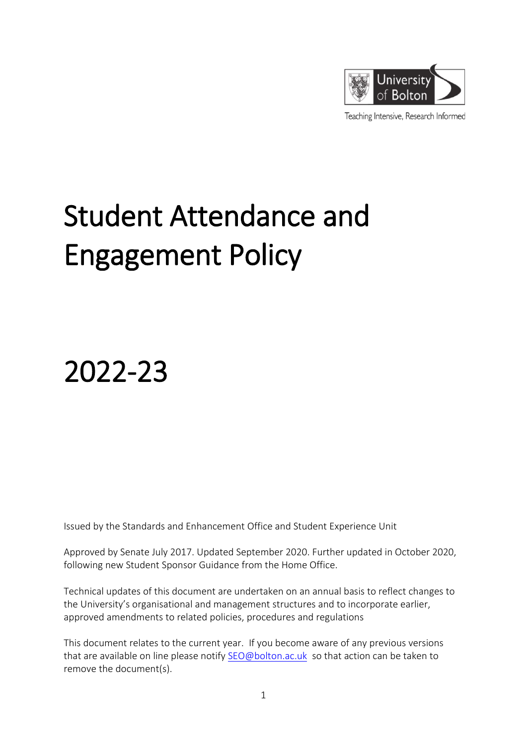

Teaching Intensive, Research Informed

# Student Attendance and Engagement Policy

2022-23

Issued by the Standards and Enhancement Office and Student Experience Unit

Approved by Senate July 2017. Updated September 2020. Further updated in October 2020, following new Student Sponsor Guidance from the Home Office.

Technical updates of this document are undertaken on an annual basis to reflect changes to the University's organisational and management structures and to incorporate earlier, approved amendments to related policies, procedures and regulations

This document relates to the current year. If you become aware of any previous versions that are available on line please notify [SEO@bolton.ac.uk](mailto:SEO@bolton.ac.uk) so that action can be taken to remove the document(s).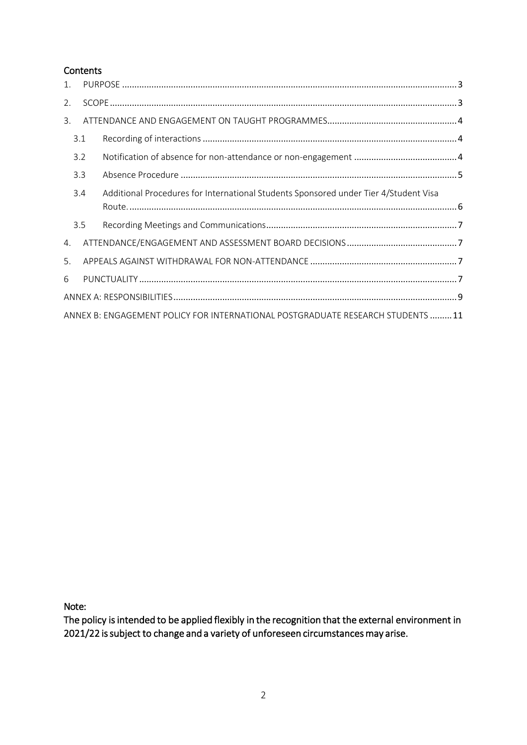## **Contents**

| 1.                                                                             |     |                                                                                      |  |  |
|--------------------------------------------------------------------------------|-----|--------------------------------------------------------------------------------------|--|--|
| 2.                                                                             |     |                                                                                      |  |  |
| 3.                                                                             |     |                                                                                      |  |  |
|                                                                                | 3.1 |                                                                                      |  |  |
|                                                                                | 3.2 |                                                                                      |  |  |
|                                                                                | 3.3 |                                                                                      |  |  |
|                                                                                | 3.4 | Additional Procedures for International Students Sponsored under Tier 4/Student Visa |  |  |
|                                                                                | 3.5 |                                                                                      |  |  |
| 4.                                                                             |     |                                                                                      |  |  |
| 5.                                                                             |     |                                                                                      |  |  |
| 6                                                                              |     |                                                                                      |  |  |
|                                                                                |     |                                                                                      |  |  |
| ANNEX B: ENGAGEMENT POLICY FOR INTERNATIONAL POSTGRADUATE RESEARCH STUDENTS 11 |     |                                                                                      |  |  |

Note:

The policy is intended to be applied flexibly in the recognition that the external environment in 2021/22 is subject to change and a variety of unforeseen circumstances may arise.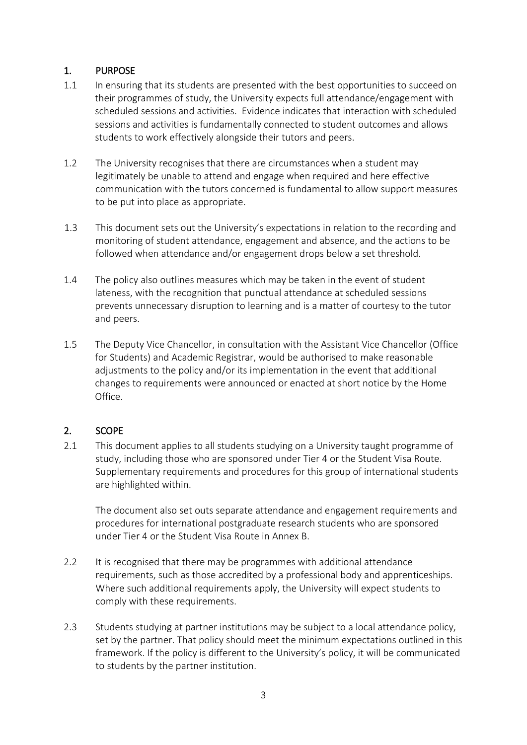## <span id="page-2-0"></span>1. PURPOSE

- 1.1 In ensuring that its students are presented with the best opportunities to succeed on their programmes of study, the University expects full attendance/engagement with scheduled sessions and activities. Evidence indicates that interaction with scheduled sessions and activities is fundamentally connected to student outcomes and allows students to work effectively alongside their tutors and peers.
- 1.2 The University recognises that there are circumstances when a student may legitimately be unable to attend and engage when required and here effective communication with the tutors concerned is fundamental to allow support measures to be put into place as appropriate.
- 1.3 This document sets out the University's expectations in relation to the recording and monitoring of student attendance, engagement and absence, and the actions to be followed when attendance and/or engagement drops below a set threshold.
- 1.4 The policy also outlines measures which may be taken in the event of student lateness, with the recognition that punctual attendance at scheduled sessions prevents unnecessary disruption to learning and is a matter of courtesy to the tutor and peers.
- 1.5 The Deputy Vice Chancellor, in consultation with the Assistant Vice Chancellor (Office for Students) and Academic Registrar, would be authorised to make reasonable adjustments to the policy and/or its implementation in the event that additional changes to requirements were announced or enacted at short notice by the Home Office.

## <span id="page-2-1"></span>2. SCOPE

2.1 This document applies to all students studying on a University taught programme of study, including those who are sponsored under Tier 4 or the Student Visa Route. Supplementary requirements and procedures for this group of international students are highlighted within.

The document also set outs separate attendance and engagement requirements and procedures for international postgraduate research students who are sponsored under Tier 4 or the Student Visa Route in Annex B.

- 2.2 It is recognised that there may be programmes with additional attendance requirements, such as those accredited by a professional body and apprenticeships. Where such additional requirements apply, the University will expect students to comply with these requirements.
- 2.3 Students studying at partner institutions may be subject to a local attendance policy, set by the partner. That policy should meet the minimum expectations outlined in this framework. If the policy is different to the University's policy, it will be communicated to students by the partner institution.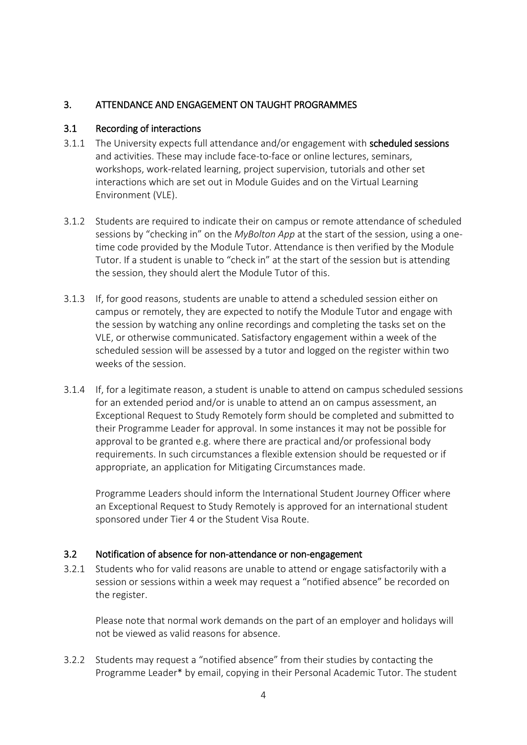## <span id="page-3-0"></span>3. ATTENDANCE AND ENGAGEMENT ON TAUGHT PROGRAMMES

## <span id="page-3-1"></span>3.1 Recording of interactions

- 3.1.1 The University expects full attendance and/or engagement with scheduled sessions and activities. These may include face-to-face or online lectures, seminars, workshops, work-related learning, project supervision, tutorials and other set interactions which are set out in Module Guides and on the Virtual Learning Environment (VLE).
- 3.1.2 Students are required to indicate their on campus or remote attendance of scheduled sessions by "checking in" on the *MyBolton App* at the start of the session, using a onetime code provided by the Module Tutor. Attendance is then verified by the Module Tutor. If a student is unable to "check in" at the start of the session but is attending the session, they should alert the Module Tutor of this.
- 3.1.3 If, for good reasons, students are unable to attend a scheduled session either on campus or remotely, they are expected to notify the Module Tutor and engage with the session by watching any online recordings and completing the tasks set on the VLE, or otherwise communicated. Satisfactory engagement within a week of the scheduled session will be assessed by a tutor and logged on the register within two weeks of the session.
- 3.1.4 If, for a legitimate reason, a student is unable to attend on campus scheduled sessions for an extended period and/or is unable to attend an on campus assessment, an Exceptional Request to Study Remotely form should be completed and submitted to their Programme Leader for approval. In some instances it may not be possible for approval to be granted e.g. where there are practical and/or professional body requirements. In such circumstances a flexible extension should be requested or if appropriate, an application for Mitigating Circumstances made.

Programme Leaders should inform the International Student Journey Officer where an Exceptional Request to Study Remotely is approved for an international student sponsored under Tier 4 or the Student Visa Route.

## <span id="page-3-2"></span>3.2 Notification of absence for non-attendance or non-engagement

3.2.1 Students who for valid reasons are unable to attend or engage satisfactorily with a session or sessions within a week may request a "notified absence" be recorded on the register.

Please note that normal work demands on the part of an employer and holidays will not be viewed as valid reasons for absence.

3.2.2 Students may request a "notified absence" from their studies by contacting the Programme Leader\* by email, copying in their Personal Academic Tutor. The student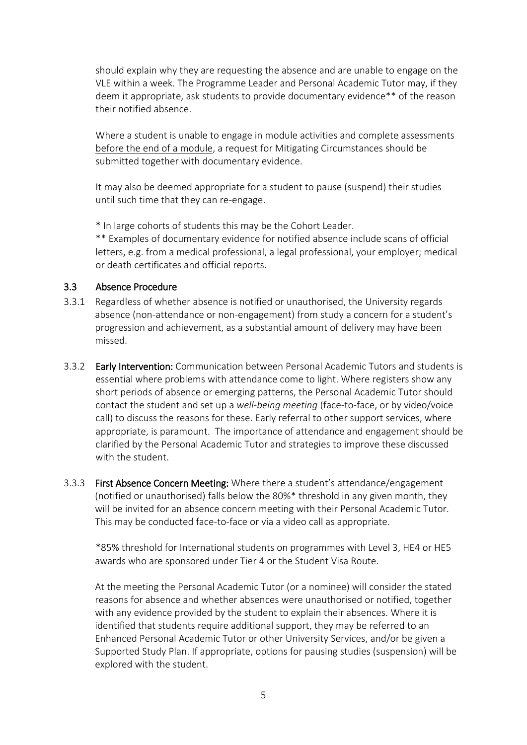should explain why they are requesting the absence and are unable to engage on the VLE within a week. The Programme Leader and Personal Academic Tutor may, if they deem it appropriate, ask students to provide documentary evidence\*\* of the reason their notified absence.

Where a student is unable to engage in module activities and complete assessments before the end of a module, a request for Mitigating Circumstances should be submitted together with documentary evidence.

It may also be deemed appropriate for a student to pause (suspend) their studies until such time that they can re-engage.

\* In large cohorts of students this may be the Cohort Leader.

\*\* Examples of documentary evidence for notified absence include scans of official letters, e.g. from a medical professional, a legal professional, your employer; medical or death certificates and official reports.

## <span id="page-4-0"></span>3.3 Absence Procedure

- 3.3.1 Regardless of whether absence is notified or unauthorised, the University regards absence (non-attendance or non-engagement) from study a concern for a student's progression and achievement, as a substantial amount of delivery may have been missed.
- 3.3.2 Early Intervention: Communication between Personal Academic Tutors and students is essential where problems with attendance come to light. Where registers show any short periods of absence or emerging patterns, the Personal Academic Tutor should contact the student and set up a *well-being meeting* (face-to-face, or by video/voice call) to discuss the reasons for these. Early referral to other support services, where appropriate, is paramount. The importance of attendance and engagement should be clarified by the Personal Academic Tutor and strategies to improve these discussed with the student.
- 3.3.3 First Absence Concern Meeting: Where there a student's attendance/engagement (notified or unauthorised) falls below the 80%\* threshold in any given month, they will be invited for an absence concern meeting with their Personal Academic Tutor. This may be conducted face-to-face or via a video call as appropriate.

\*85% threshold for International students on programmes with Level 3, HE4 or HE5 awards who are sponsored under Tier 4 or the Student Visa Route.

At the meeting the Personal Academic Tutor (or a nominee) will consider the stated reasons for absence and whether absences were unauthorised or notified, together with any evidence provided by the student to explain their absences. Where it is identified that students require additional support, they may be referred to an Enhanced Personal Academic Tutor or other University Services, and/or be given a Supported Study Plan. If appropriate, options for pausing studies (suspension) will be explored with the student.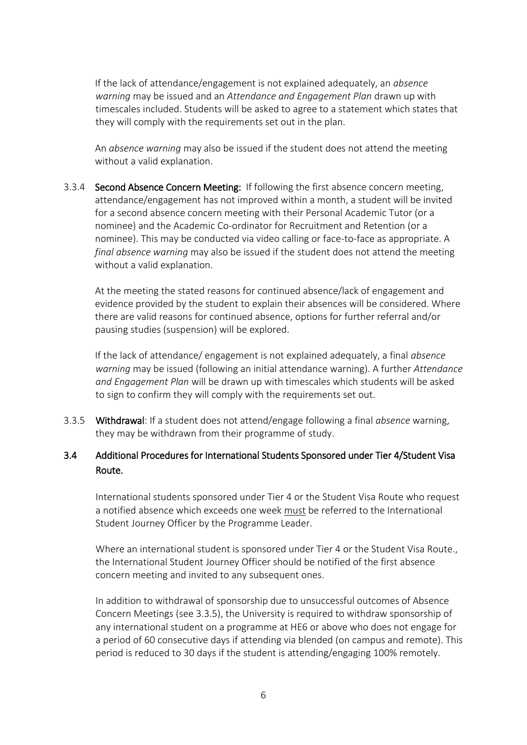If the lack of attendance/engagement is not explained adequately, an *absence warning* may be issued and an *Attendance and Engagement Plan* drawn up with timescales included. Students will be asked to agree to a statement which states that they will comply with the requirements set out in the plan.

An *absence warning* may also be issued if the student does not attend the meeting without a valid explanation.

3.3.4 Second Absence Concern Meeting: If following the first absence concern meeting, attendance/engagement has not improved within a month, a student will be invited for a second absence concern meeting with their Personal Academic Tutor (or a nominee) and the Academic Co-ordinator for Recruitment and Retention (or a nominee). This may be conducted via video calling or face-to-face as appropriate. A *final absence warning* may also be issued if the student does not attend the meeting without a valid explanation.

At the meeting the stated reasons for continued absence/lack of engagement and evidence provided by the student to explain their absences will be considered. Where there are valid reasons for continued absence, options for further referral and/or pausing studies (suspension) will be explored.

If the lack of attendance/ engagement is not explained adequately, a final *absence warning* may be issued (following an initial attendance warning). A further *Attendance and Engagement Plan* will be drawn up with timescales which students will be asked to sign to confirm they will comply with the requirements set out.

3.3.5 Withdrawal: If a student does not attend/engage following a final *absence* warning, they may be withdrawn from their programme of study.

## <span id="page-5-0"></span>3.4 Additional Procedures for International Students Sponsored under Tier 4/Student Visa Route.

International students sponsored under Tier 4 or the Student Visa Route who request a notified absence which exceeds one week must be referred to the International Student Journey Officer by the Programme Leader.

Where an international student is sponsored under Tier 4 or the Student Visa Route., the International Student Journey Officer should be notified of the first absence concern meeting and invited to any subsequent ones.

In addition to withdrawal of sponsorship due to unsuccessful outcomes of Absence Concern Meetings (see 3.3.5), the University is required to withdraw sponsorship of any international student on a programme at HE6 or above who does not engage for a period of 60 consecutive days if attending via blended (on campus and remote). This period is reduced to 30 days if the student is attending/engaging 100% remotely.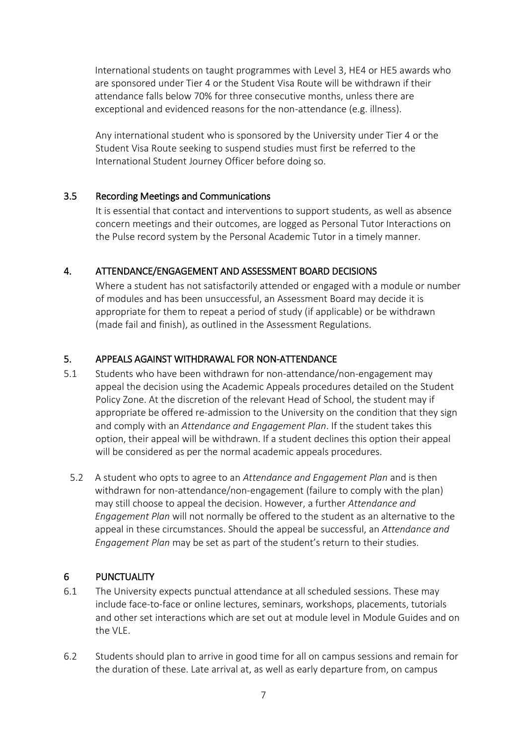International students on taught programmes with Level 3, HE4 or HE5 awards who are sponsored under Tier 4 or the Student Visa Route will be withdrawn if their attendance falls below 70% for three consecutive months, unless there are exceptional and evidenced reasons for the non-attendance (e.g. illness).

Any international student who is sponsored by the University under Tier 4 or the Student Visa Route seeking to suspend studies must first be referred to the International Student Journey Officer before doing so.

### <span id="page-6-0"></span>3.5 Recording Meetings and Communications

It is essential that contact and interventions to support students, as well as absence concern meetings and their outcomes, are logged as Personal Tutor Interactions on the Pulse record system by the Personal Academic Tutor in a timely manner.

### <span id="page-6-1"></span>4. ATTENDANCE/ENGAGEMENT AND ASSESSMENT BOARD DECISIONS

Where a student has not satisfactorily attended or engaged with a module or number of modules and has been unsuccessful, an Assessment Board may decide it is appropriate for them to repeat a period of study (if applicable) or be withdrawn (made fail and finish), as outlined in the Assessment Regulations.

### <span id="page-6-2"></span>5. APPEALS AGAINST WITHDRAWAL FOR NON-ATTENDANCE

- 5.1 Students who have been withdrawn for non-attendance/non-engagement may appeal the decision using the Academic Appeals procedures detailed on the Student Policy Zone. At the discretion of the relevant Head of School, the student may if appropriate be offered re-admission to the University on the condition that they sign and comply with an *Attendance and Engagement Plan*. If the student takes this option, their appeal will be withdrawn. If a student declines this option their appeal will be considered as per the normal academic appeals procedures.
	- 5.2 A student who opts to agree to an *Attendance and Engagement Plan* and is then withdrawn for non-attendance/non-engagement (failure to comply with the plan) may still choose to appeal the decision. However, a further *Attendance and Engagement Plan* will not normally be offered to the student as an alternative to the appeal in these circumstances. Should the appeal be successful, an *Attendance and Engagement Plan* may be set as part of the student's return to their studies.

#### <span id="page-6-3"></span>6 PUNCTUALITY

- 6.1 The University expects punctual attendance at all scheduled sessions. These may include face-to-face or online lectures, seminars, workshops, placements, tutorials and other set interactions which are set out at module level in Module Guides and on the VLE.
- 6.2 Students should plan to arrive in good time for all on campus sessions and remain for the duration of these. Late arrival at, as well as early departure from, on campus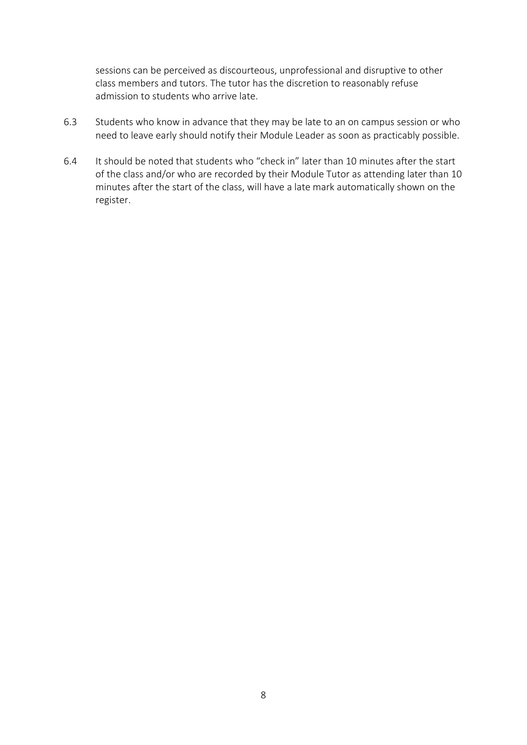sessions can be perceived as discourteous, unprofessional and disruptive to other class members and tutors. The tutor has the discretion to reasonably refuse admission to students who arrive late.

- 6.3 Students who know in advance that they may be late to an on campus session or who need to leave early should notify their Module Leader as soon as practicably possible.
- 6.4 It should be noted that students who "check in" later than 10 minutes after the start of the class and/or who are recorded by their Module Tutor as attending later than 10 minutes after the start of the class, will have a late mark automatically shown on the register.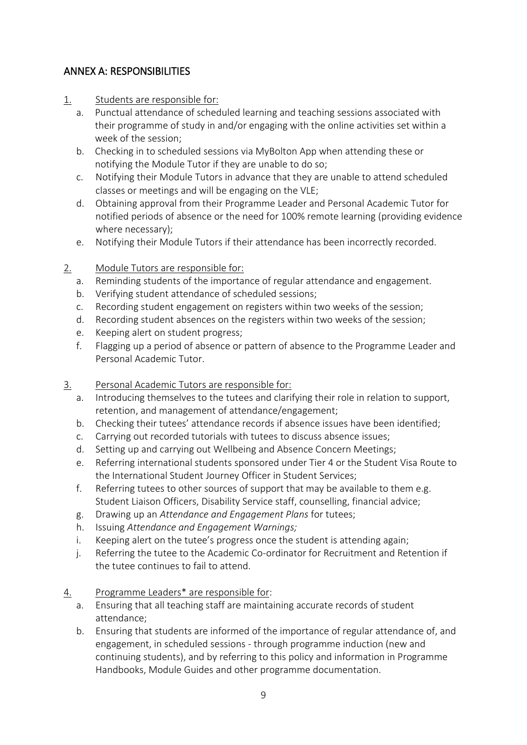## <span id="page-8-0"></span>ANNEX A: RESPONSIBILITIES

- 1. Students are responsible for:
	- a. Punctual attendance of scheduled learning and teaching sessions associated with their programme of study in and/or engaging with the online activities set within a week of the session;
	- b. Checking in to scheduled sessions via MyBolton App when attending these or notifying the Module Tutor if they are unable to do so;
	- c. Notifying their Module Tutors in advance that they are unable to attend scheduled classes or meetings and will be engaging on the VLE;
	- d. Obtaining approval from their Programme Leader and Personal Academic Tutor for notified periods of absence or the need for 100% remote learning (providing evidence where necessary);
	- e. Notifying their Module Tutors if their attendance has been incorrectly recorded.
- 2. Module Tutors are responsible for:
	- a. Reminding students of the importance of regular attendance and engagement.
	- b. Verifying student attendance of scheduled sessions;
	- c. Recording student engagement on registers within two weeks of the session;
	- d. Recording student absences on the registers within two weeks of the session;
	- e. Keeping alert on student progress;
	- f. Flagging up a period of absence or pattern of absence to the Programme Leader and Personal Academic Tutor.
- 3. Personal Academic Tutors are responsible for:
	- a. Introducing themselves to the tutees and clarifying their role in relation to support, retention, and management of attendance/engagement;
	- b. Checking their tutees' attendance records if absence issues have been identified;
	- c. Carrying out recorded tutorials with tutees to discuss absence issues;
	- d. Setting up and carrying out Wellbeing and Absence Concern Meetings;
	- e. Referring international students sponsored under Tier 4 or the Student Visa Route to the International Student Journey Officer in Student Services;
	- f. Referring tutees to other sources of support that may be available to them e.g. Student Liaison Officers, Disability Service staff, counselling, financial advice;
	- g. Drawing up an *Attendance and Engagement Plans* for tutees;
	- h. Issuing *Attendance and Engagement Warnings;*
	- i. Keeping alert on the tutee's progress once the student is attending again;
	- j. Referring the tutee to the Academic Co-ordinator for Recruitment and Retention if the tutee continues to fail to attend.
- 4. Programme Leaders\* are responsible for:
	- a. Ensuring that all teaching staff are maintaining accurate records of student attendance;
	- b. Ensuring that students are informed of the importance of regular attendance of, and engagement, in scheduled sessions - through programme induction (new and continuing students), and by referring to this policy and information in Programme Handbooks, Module Guides and other programme documentation.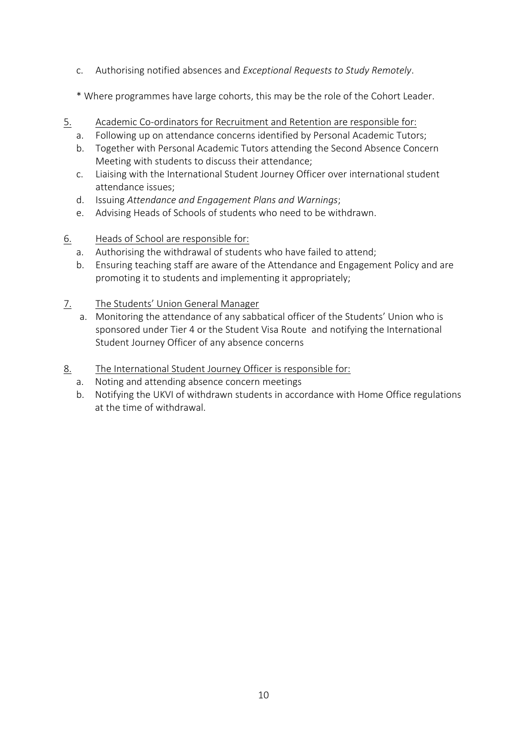- c. Authorising notified absences and *Exceptional Requests to Study Remotely*.
- \* Where programmes have large cohorts, this may be the role of the Cohort Leader.
- 5. Academic Co-ordinators for Recruitment and Retention are responsible for:
	- a. Following up on attendance concerns identified by Personal Academic Tutors;
	- b. Together with Personal Academic Tutors attending the Second Absence Concern Meeting with students to discuss their attendance;
	- c. Liaising with the International Student Journey Officer over international student attendance issues;
	- d. Issuing *Attendance and Engagement Plans and Warnings*;
	- e. Advising Heads of Schools of students who need to be withdrawn.
- 6. Heads of School are responsible for:
	- a. Authorising the withdrawal of students who have failed to attend;
	- b. Ensuring teaching staff are aware of the Attendance and Engagement Policy and are promoting it to students and implementing it appropriately;
- 7. The Students' Union General Manager
	- a. Monitoring the attendance of any sabbatical officer of the Students' Union who is sponsored under Tier 4 or the Student Visa Route and notifying the International Student Journey Officer of any absence concerns
- 8. The International Student Journey Officer is responsible for:
	- a. Noting and attending absence concern meetings
	- b. Notifying the UKVI of withdrawn students in accordance with Home Office regulations at the time of withdrawal.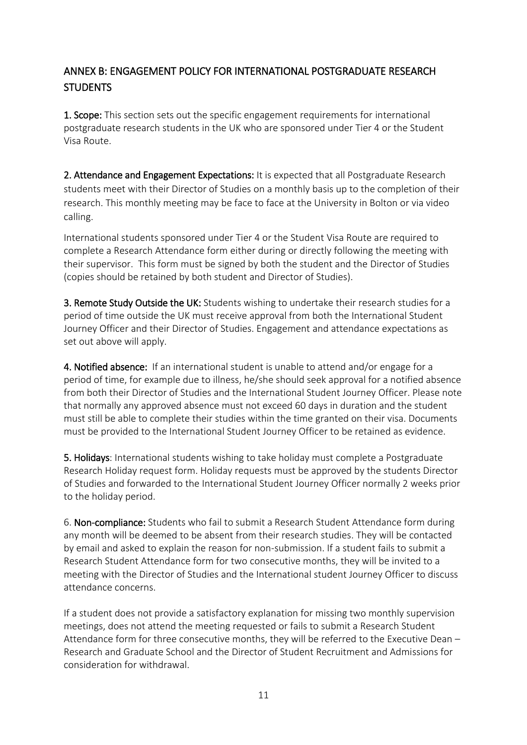# <span id="page-10-0"></span>ANNEX B: ENGAGEMENT POLICY FOR INTERNATIONAL POSTGRADUATE RESEARCH STUDENTS

1. Scope: This section sets out the specific engagement requirements for international postgraduate research students in the UK who are sponsored under Tier 4 or the Student Visa Route.

2. Attendance and Engagement Expectations: It is expected that all Postgraduate Research students meet with their Director of Studies on a monthly basis up to the completion of their research. This monthly meeting may be face to face at the University in Bolton or via video calling.

International students sponsored under Tier 4 or the Student Visa Route are required to complete a Research Attendance form either during or directly following the meeting with their supervisor. This form must be signed by both the student and the Director of Studies (copies should be retained by both student and Director of Studies).

3. Remote Study Outside the UK: Students wishing to undertake their research studies for a period of time outside the UK must receive approval from both the International Student Journey Officer and their Director of Studies. Engagement and attendance expectations as set out above will apply.

4. Notified absence: If an international student is unable to attend and/or engage for a period of time, for example due to illness, he/she should seek approval for a notified absence from both their Director of Studies and the International Student Journey Officer. Please note that normally any approved absence must not exceed 60 days in duration and the student must still be able to complete their studies within the time granted on their visa. Documents must be provided to the International Student Journey Officer to be retained as evidence.

5. Holidays: International students wishing to take holiday must complete a Postgraduate Research Holiday request form. Holiday requests must be approved by the students Director of Studies and forwarded to the International Student Journey Officer normally 2 weeks prior to the holiday period.

6. Non-compliance: Students who fail to submit a Research Student Attendance form during any month will be deemed to be absent from their research studies. They will be contacted by email and asked to explain the reason for non-submission. If a student fails to submit a Research Student Attendance form for two consecutive months, they will be invited to a meeting with the Director of Studies and the International student Journey Officer to discuss attendance concerns.

If a student does not provide a satisfactory explanation for missing two monthly supervision meetings, does not attend the meeting requested or fails to submit a Research Student Attendance form for three consecutive months, they will be referred to the Executive Dean – Research and Graduate School and the Director of Student Recruitment and Admissions for consideration for withdrawal.